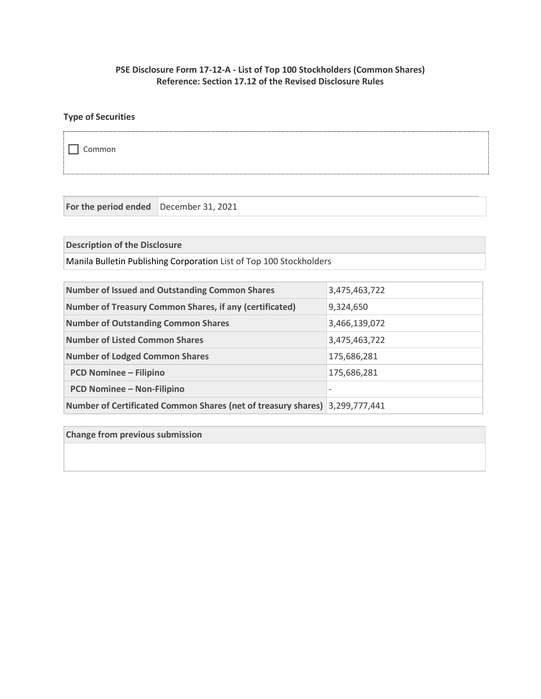## **PSE Disclosure Form 17-12-A - List of Top 100 Stockholders (Common Shares) Reference: Section 17.12 of the Revised Disclosure Rules**

# **Type of Securities**

Common

**For the period ended** December 31, 2021

**Description of the Disclosure**

Manila Bulletin Publishing Corporation List of Top 100 Stockholders

| <b>Number of Issued and Outstanding Common Shares</b>                       | 3,475,463,722            |
|-----------------------------------------------------------------------------|--------------------------|
| <b>Number of Treasury Common Shares, if any (certificated)</b>              | 9,324,650                |
| <b>Number of Outstanding Common Shares</b>                                  | 3,466,139,072            |
| <b>Number of Listed Common Shares</b>                                       | 3,475,463,722            |
| <b>Number of Lodged Common Shares</b>                                       | 175,686,281              |
| <b>PCD Nominee - Filipino</b>                                               | 175,686,281              |
| <b>PCD Nominee - Non-Filipino</b>                                           | $\overline{\phantom{0}}$ |
| Number of Certificated Common Shares (net of treasury shares) 3,299,777,441 |                          |

**Change from previous submission**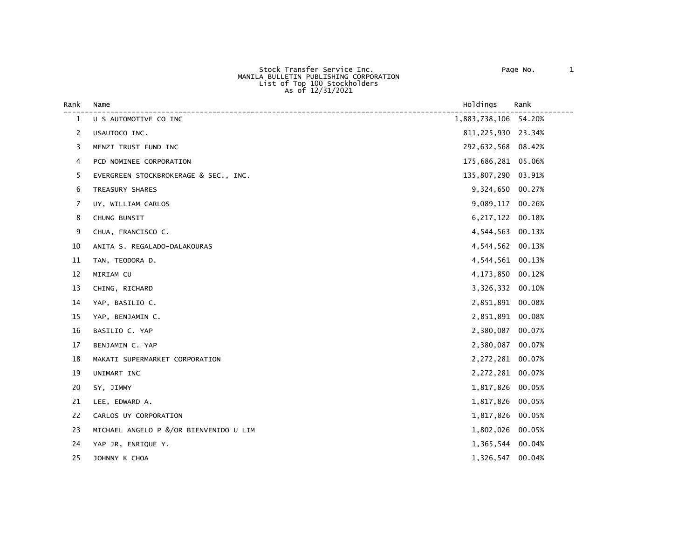#### Stock Transfer Service Inc. Page No. 1 MANILA BULLETIN PUBLISHING CORPORATION<br>List of Top 100 Stockholders As of 12/31/2021

| Rank           | Name                                   | Holdings             | Rank   |
|----------------|----------------------------------------|----------------------|--------|
| $\mathbf{1}$   | U S AUTOMOTIVE CO INC                  | 1,883,738,106 54.20% |        |
| $\overline{2}$ | USAUTOCO INC.                          | 811, 225, 930 23.34% |        |
| 3              | MENZI TRUST FUND INC                   | 292,632,568 08.42%   |        |
| 4              | PCD NOMINEE CORPORATION                | 175,686,281 05.06%   |        |
| 5              | EVERGREEN STOCKBROKERAGE & SEC., INC.  | 135,807,290 03.91%   |        |
| 6              | TREASURY SHARES                        | 9,324,650 00.27%     |        |
| 7              | UY, WILLIAM CARLOS                     | 9,089,117            | 00.26% |
| 8              | CHUNG BUNSIT                           | 6, 217, 122          | 00.18% |
| 9              | CHUA, FRANCISCO C.                     | 4,544,563 00.13%     |        |
| 10             | ANITA S. REGALADO-DALAKOURAS           | 4,544,562 00.13%     |        |
| 11             | TAN, TEODORA D.                        | 4,544,561 00.13%     |        |
| 12             | MIRIAM CU                              | 4,173,850            | 00.12% |
| 13             | CHING, RICHARD                         | 3,326,332            | 00.10% |
| 14             | YAP, BASILIO C.                        | 2,851,891 00.08%     |        |
| 15             | YAP, BENJAMIN C.                       | 2,851,891 00.08%     |        |
| 16             | BASILIO C. YAP                         | 2,380,087            | 00.07% |
| 17             | BENJAMIN C. YAP                        | 2,380,087            | 00.07% |
| 18             | MAKATI SUPERMARKET CORPORATION         | 2,272,281 00.07%     |        |
| 19             | UNIMART INC                            | 2,272,281 00.07%     |        |
| 20             | SY, JIMMY                              | 1,817,826 00.05%     |        |
| 21             | LEE, EDWARD A.                         | 1,817,826            | 00.05% |
| 22             | CARLOS UY CORPORATION                  | 1,817,826            | 00.05% |
| 23             | MICHAEL ANGELO P &/OR BIENVENIDO U LIM | 1,802,026 00.05%     |        |
| 24             | YAP JR, ENRIQUE Y.                     | 1,365,544 00.04%     |        |
| 25             | JOHNNY K CHOA                          | 1,326,547 00.04%     |        |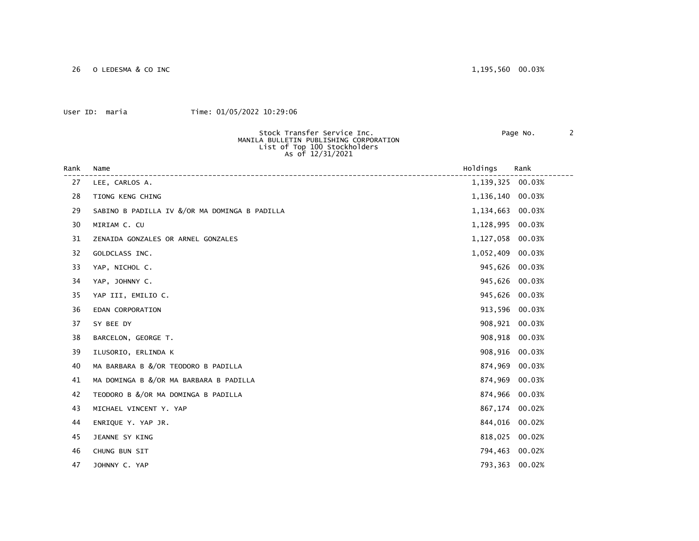26 O LEDESMA & CO INC 1,195,560 00.03%

#### User ID: maria Time: 01/05/2022 10:29:06

MANILA BULLETIN PUBLISHING CORPORATION<br>List of Top 100 Stockholders

Stock Transfer Service Inc. Page No. 2

|      | As of 12/31/2021                              |             |        |
|------|-----------------------------------------------|-------------|--------|
| Rank | Name                                          | Holdings    | Rank   |
| 27   | LEE, CARLOS A.                                | 1, 139, 325 | 00.03% |
| 28   | TIONG KENG CHING                              | 1,136,140   | 00.03% |
| 29   | SABINO B PADILLA IV &/OR MA DOMINGA B PADILLA | 1,134,663   | 00.03% |
| 30   | MIRIAM C. CU                                  | 1,128,995   | 00.03% |
| 31   | ZENAIDA GONZALES OR ARNEL GONZALES            | 1,127,058   | 00.03% |
| 32   | GOLDCLASS INC.                                | 1,052,409   | 00.03% |
| 33   | YAP, NICHOL C.                                | 945,626     | 00.03% |
| 34   | YAP, JOHNNY C.                                | 945,626     | 00.03% |
| 35   | YAP III, EMILIO C.                            | 945,626     | 00.03% |
| 36   | EDAN CORPORATION                              | 913,596     | 00.03% |
| 37   | SY BEE DY                                     | 908,921     | 00.03% |
| 38   | BARCELON, GEORGE T.                           | 908,918     | 00.03% |
| 39   | ILUSORIO, ERLINDA K                           | 908,916     | 00.03% |
| 40   | MA BARBARA B &/OR TEODORO B PADILLA           | 874,969     | 00.03% |
| 41   | MA DOMINGA B &/OR MA BARBARA B PADILLA        | 874,969     | 00.03% |
| 42   | TEODORO B &/OR MA DOMINGA B PADILLA           | 874,966     | 00.03% |
| 43   | MICHAEL VINCENT Y. YAP                        | 867,174     | 00.02% |
| 44   | ENRIQUE Y. YAP JR.                            | 844,016     | 00.02% |
| 45   | JEANNE SY KING                                | 818,025     | 00.02% |
| 46   | CHUNG BUN SIT                                 | 794,463     | 00.02% |
| 47   | JOHNNY C. YAP                                 | 793,363     | 00.02% |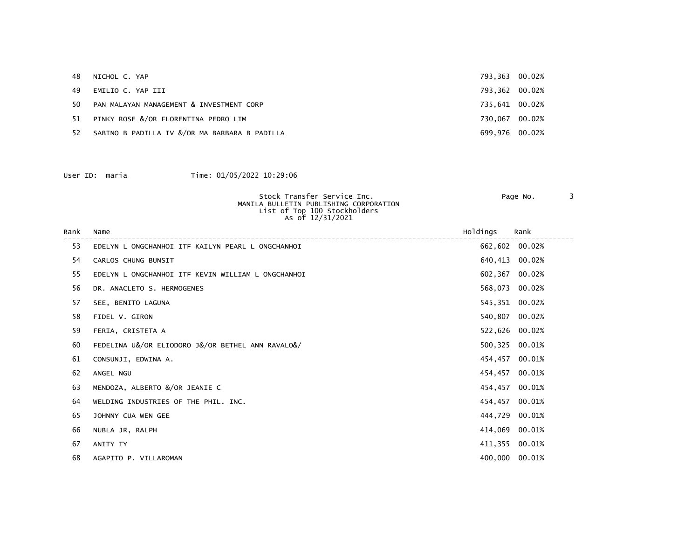| 48  | NICHOL C. YAP                                 | 793,363 00.02% |  |
|-----|-----------------------------------------------|----------------|--|
| 49  | EMILIO C. YAP III                             | 793,362 00.02% |  |
| 50. | PAN MALAYAN MANAGEMENT & INVESTMENT CORP      | 735.641 00.02% |  |
| 51  | PINKY ROSE &/OR FLORENTINA PEDRO LIM          | 730,067 00.02% |  |
| 52  | SABINO B PADILLA IV &/OR MA BARBARA B PADILLA | 699,976 00.02% |  |

|      |          | Stock Transfer Service Inc.<br>MANILA BULLETIN PUBLISHING CORPORATION<br>List of Top 100 Stockholders<br>As of 12/31/2021 |                 | Page No.    |  |
|------|----------|---------------------------------------------------------------------------------------------------------------------------|-----------------|-------------|--|
| nonk | $N = m0$ |                                                                                                                           | $II = I + in =$ | <b>Donk</b> |  |

| Rank | Name                                               | Holdings | Rank           |
|------|----------------------------------------------------|----------|----------------|
| 53   | EDELYN L ONGCHANHOI ITF KAILYN PEARL L ONGCHANHOI  |          | 662,602 00.02% |
| 54   | CARLOS CHUNG BUNSIT                                | 640,413  | 00.02%         |
| 55   | EDELYN L ONGCHANHOI ITF KEVIN WILLIAM L ONGCHANHOI | 602,367  | 00.02%         |
| 56   | DR. ANACLETO S. HERMOGENES                         | 568,073  | 00.02%         |
| 57   | SEE, BENITO LAGUNA                                 |          | 545,351 00.02% |
| 58   | FIDEL V. GIRON                                     | 540,807  | 00.02%         |
| 59   | FERIA, CRISTETA A                                  |          | 522,626 00.02% |
| 60   | FEDELINA U&/OR ELIODORO J&/OR BETHEL ANN RAVALO&/  |          | 500,325 00.01% |
| 61   | CONSUNJI, EDWINA A.                                |          | 454,457 00.01% |
| 62   | ANGEL NGU                                          | 454,457  | 00.01%         |
| 63   | MENDOZA, ALBERTO &/OR JEANIE C                     | 454,457  | 00.01%         |
| 64   | WELDING INDUSTRIES OF THE PHIL. INC.               | 454,457  | 00.01%         |
| 65   | JOHNNY CUA WEN GEE                                 | 444,729  | 00.01%         |
| 66   | NUBLA JR, RALPH                                    | 414,069  | 00.01%         |
| 67   | ANITY TY                                           |          | 411,355 00.01% |
| 68   | AGAPITO P. VILLAROMAN                              |          | 400,000 00.01% |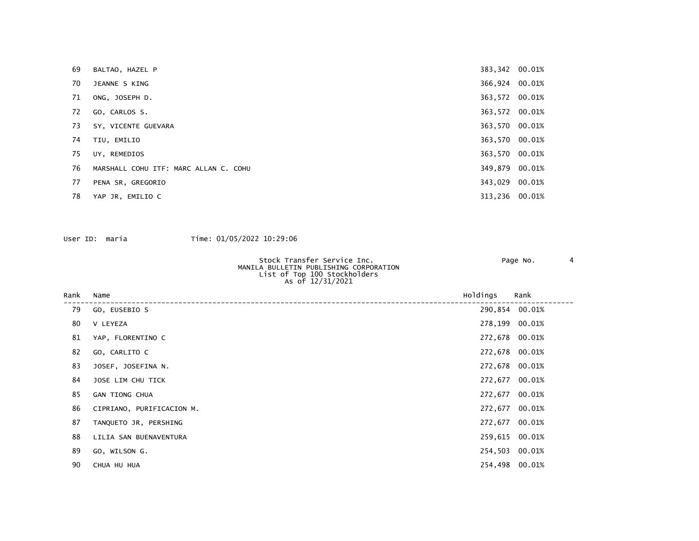| 69 | BALTAO, HAZEL P                       | 383,342 00.01% |  |
|----|---------------------------------------|----------------|--|
| 70 | JEANNE S KING                         | 366,924 00.01% |  |
| 71 | ONG, JOSEPH D.                        | 363,572 00.01% |  |
| 72 | GO, CARLOS S.                         | 363,572 00.01% |  |
| 73 | SY, VICENTE GUEVARA                   | 363,570 00.01% |  |
| 74 | TIU, EMILIO                           | 363,570 00.01% |  |
| 75 | UY, REMEDIOS                          | 363,570 00.01% |  |
| 76 | MARSHALL COHU ITF: MARC ALLAN C. COHU | 349,879 00.01% |  |
| 77 | PENA SR, GREGORIO                     | 343,029 00.01% |  |
| 78 | YAP JR, EMILIO C                      | 313,236 00.01% |  |

| Stock Transfer Service Inc.            | Page No. |  |
|----------------------------------------|----------|--|
| MANILA BULLETIN PUBLISHING CORPORATION |          |  |
| List of Top 100 Stockholders           |          |  |
| As of 12/31/2021                       |          |  |
|                                        |          |  |

| Rank | Name                      | Holdings | Rank           |
|------|---------------------------|----------|----------------|
| 79   | GO, EUSEBIO S             |          | 290,854 00.01% |
| 80   | V LEYEZA                  |          | 278,199 00.01% |
| 81   | YAP, FLORENTINO C         |          | 272,678 00.01% |
| 82   | GO, CARLITO C             |          | 272,678 00.01% |
| 83   | JOSEF, JOSEFINA N.        |          | 272,678 00.01% |
| 84   | JOSE LIM CHU TICK         |          | 272,677 00.01% |
| 85   | <b>GAN TIONG CHUA</b>     |          | 272,677 00.01% |
| 86   | CIPRIANO, PURIFICACION M. |          | 272,677 00.01% |
| 87   | TANQUETO JR, PERSHING     |          | 272,677 00.01% |
| 88   | LILIA SAN BUENAVENTURA    |          | 259,615 00.01% |
| 89   | GO, WILSON G.             |          | 254,503 00.01% |
| 90   | CHUA HU HUA               |          | 254,498 00.01% |
|      |                           |          |                |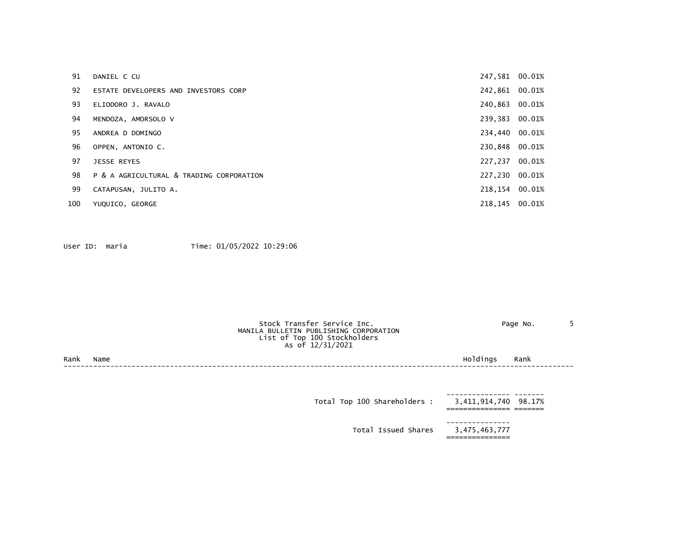| 91  | DANIEL C CU                              | 247,581 00.01% |  |
|-----|------------------------------------------|----------------|--|
| 92  | ESTATE DEVELOPERS AND INVESTORS CORP     | 242,861 00.01% |  |
| 93  | ELIODORO J. RAVALO                       | 240,863 00.01% |  |
| 94  | MENDOZA, AMORSOLO V                      | 239,383 00.01% |  |
| 95  | ANDREA D DOMINGO                         | 234,440 00.01% |  |
| 96  | OPPEN, ANTONIO C.                        | 230,848 00.01% |  |
| 97  | <b>JESSE REYES</b>                       | 227.237 00.01% |  |
| 98  | P & A AGRICULTURAL & TRADING CORPORATION | 227,230 00.01% |  |
| 99  | CATAPUSAN, JULITO A.                     | 218,154 00.01% |  |
| 100 | YUQUICO, GEORGE                          | 218,145 00.01% |  |

|      |      | Stock Transfer Service Inc.<br>MANILA BULLETIN PUBLISHING CORPORATION<br>List of Top 100 Stockholders<br>As of 12/31/2021 | Page No.             |
|------|------|---------------------------------------------------------------------------------------------------------------------------|----------------------|
| Rank | Name |                                                                                                                           | Holdings<br>Rank     |
|      |      |                                                                                                                           |                      |
|      |      |                                                                                                                           |                      |
|      |      | Total Top 100 Shareholders :                                                                                              | 3,411,914,740 98.17% |

| ---------------<br>3,475,463,777 | Total Issued Shares |
|----------------------------------|---------------------|
| ________________                 |                     |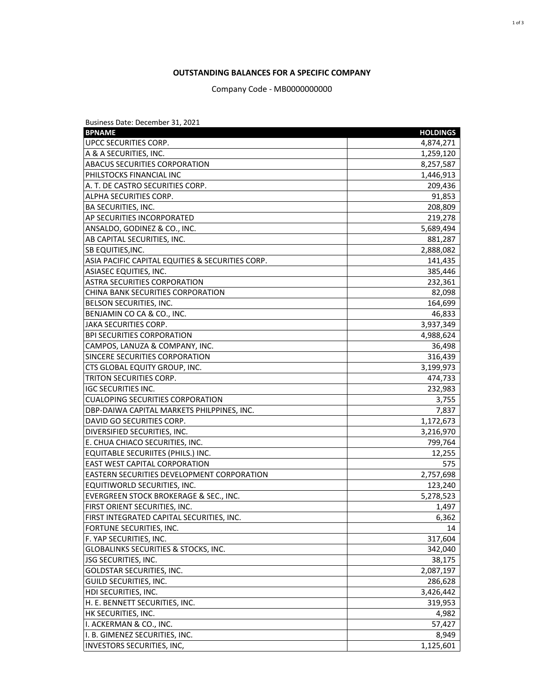### **OUTSTANDING BALANCES FOR A SPECIFIC COMPANY**

Company Code - MB0000000000

| Business Date: December 31, 2021                  |                 |
|---------------------------------------------------|-----------------|
| <b>BPNAME</b>                                     | <b>HOLDINGS</b> |
| UPCC SECURITIES CORP.                             | 4,874,271       |
| A & A SECURITIES, INC.                            | 1,259,120       |
| <b>ABACUS SECURITIES CORPORATION</b>              | 8,257,587       |
| PHILSTOCKS FINANCIAL INC                          | 1,446,913       |
| A. T. DE CASTRO SECURITIES CORP.                  | 209,436         |
| ALPHA SECURITIES CORP.                            | 91,853          |
| <b>BA SECURITIES, INC.</b>                        | 208,809         |
| AP SECURITIES INCORPORATED                        | 219,278         |
| ANSALDO, GODINEZ & CO., INC.                      | 5,689,494       |
| AB CAPITAL SECURITIES, INC.                       | 881,287         |
| <b>SB EQUITIES, INC.</b>                          | 2,888,082       |
| ASIA PACIFIC CAPITAL EQUITIES & SECURITIES CORP.  | 141,435         |
| <b>ASIASEC EQUITIES, INC.</b>                     | 385,446         |
| <b>ASTRA SECURITIES CORPORATION</b>               | 232,361         |
| CHINA BANK SECURITIES CORPORATION                 | 82,098          |
| BELSON SECURITIES, INC.                           | 164,699         |
| BENJAMIN CO CA & CO., INC.                        | 46,833          |
| JAKA SECURITIES CORP.                             | 3,937,349       |
| <b>BPI SECURITIES CORPORATION</b>                 | 4,988,624       |
| CAMPOS, LANUZA & COMPANY, INC.                    | 36,498          |
| SINCERE SECURITIES CORPORATION                    | 316,439         |
| CTS GLOBAL EQUITY GROUP, INC.                     | 3,199,973       |
| TRITON SECURITIES CORP.                           | 474,733         |
| IGC SECURITIES INC.                               | 232,983         |
| <b>CUALOPING SECURITIES CORPORATION</b>           | 3,755           |
| DBP-DAIWA CAPITAL MARKETS PHILPPINES, INC.        | 7,837           |
| DAVID GO SECURITIES CORP.                         | 1,172,673       |
| DIVERSIFIED SECURITIES, INC.                      | 3,216,970       |
| E. CHUA CHIACO SECURITIES, INC.                   | 799,764         |
| EQUITABLE SECURIITES (PHILS.) INC.                | 12,255          |
| <b>EAST WEST CAPITAL CORPORATION</b>              | 575             |
| <b>EASTERN SECURITIES DEVELOPMENT CORPORATION</b> | 2,757,698       |
| EQUITIWORLD SECURITIES, INC.                      | 123,240         |
| EVERGREEN STOCK BROKERAGE & SEC., INC.            | 5,278,523       |
| <b>FIRST ORIENT SECURITIES, INC.</b>              | 1,497           |
| FIRST INTEGRATED CAPITAL SECURITIES, INC.         | 6,362           |
| FORTUNE SECURITIES, INC.                          | 14              |
| F. YAP SECURITIES, INC.                           | 317,604         |
| <b>GLOBALINKS SECURITIES &amp; STOCKS, INC.</b>   | 342,040         |
| <b>JSG SECURITIES, INC.</b>                       | 38,175          |
| <b>GOLDSTAR SECURITIES, INC.</b>                  | 2,087,197       |
| GUILD SECURITIES, INC.                            | 286,628         |
| HDI SECURITIES, INC.                              | 3,426,442       |
| H. E. BENNETT SECURITIES, INC.                    | 319,953         |
| HK SECURITIES, INC.                               | 4,982           |
| I. ACKERMAN & CO., INC.                           | 57,427          |
| I. B. GIMENEZ SECURITIES, INC.                    | 8,949           |
| INVESTORS SECURITIES, INC,                        | 1,125,601       |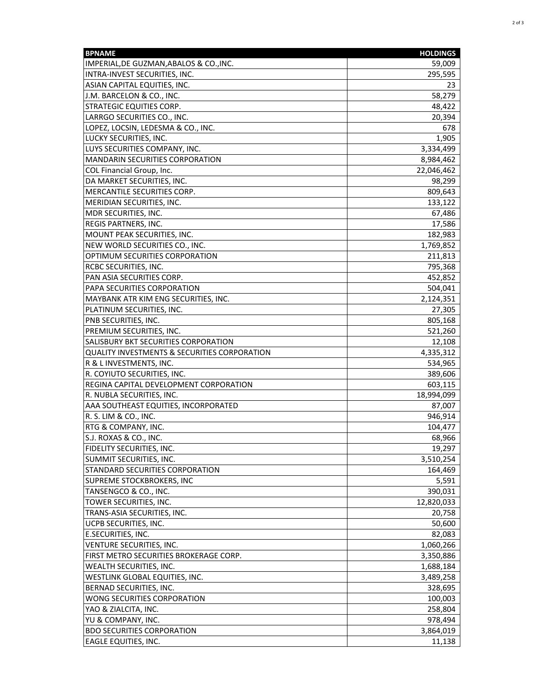| <b>BPNAME</b>                                           | <b>HOLDINGS</b> |
|---------------------------------------------------------|-----------------|
| IMPERIAL, DE GUZMAN, ABALOS & CO., INC.                 | 59,009          |
| INTRA-INVEST SECURITIES, INC.                           | 295,595         |
| ASIAN CAPITAL EQUITIES, INC.                            | 23              |
| J.M. BARCELON & CO., INC.                               | 58,279          |
| <b>STRATEGIC EQUITIES CORP.</b>                         | 48,422          |
| LARRGO SECURITIES CO., INC.                             | 20,394          |
| LOPEZ, LOCSIN, LEDESMA & CO., INC.                      | 678             |
| LUCKY SECURITIES, INC.                                  | 1,905           |
| LUYS SECURITIES COMPANY, INC.                           | 3,334,499       |
| <b>MANDARIN SECURITIES CORPORATION</b>                  | 8,984,462       |
| COL Financial Group, Inc.                               | 22,046,462      |
| DA MARKET SECURITIES, INC.                              | 98,299          |
| MERCANTILE SECURITIES CORP.                             | 809,643         |
| MERIDIAN SECURITIES, INC.                               | 133,122         |
| MDR SECURITIES, INC.                                    | 67,486          |
| REGIS PARTNERS, INC.                                    | 17,586          |
| MOUNT PEAK SECURITIES, INC.                             | 182,983         |
| NEW WORLD SECURITIES CO., INC.                          | 1,769,852       |
| OPTIMUM SECURITIES CORPORATION                          | 211,813         |
| <b>RCBC SECURITIES, INC.</b>                            | 795,368         |
| PAN ASIA SECURITIES CORP.                               | 452,852         |
| PAPA SECURITIES CORPORATION                             | 504,041         |
| MAYBANK ATR KIM ENG SECURITIES, INC.                    | 2,124,351       |
| PLATINUM SECURITIES, INC.                               | 27,305          |
| PNB SECURITIES, INC.                                    | 805,168         |
| PREMIUM SECURITIES, INC.                                | 521,260         |
| SALISBURY BKT SECURITIES CORPORATION                    | 12,108          |
| <b>QUALITY INVESTMENTS &amp; SECURITIES CORPORATION</b> | 4,335,312       |
| R & L INVESTMENTS, INC.                                 | 534,965         |
| R. COYIUTO SECURITIES, INC.                             | 389,606         |
| REGINA CAPITAL DEVELOPMENT CORPORATION                  | 603,115         |
| R. NUBLA SECURITIES, INC.                               | 18,994,099      |
| AAA SOUTHEAST EQUITIES, INCORPORATED                    | 87,007          |
| R. S. LIM & CO., INC.                                   | 946,914         |
| RTG & COMPANY, INC.                                     | 104,477         |
| S.J. ROXAS & CO., INC.                                  | 68,966          |
| FIDELITY SECURITIES, INC.                               | 19,297          |
| SUMMIT SECURITIES, INC.                                 | 3,510,254       |
| STANDARD SECURITIES CORPORATION                         | 164,469         |
| SUPREME STOCKBROKERS, INC                               | 5,591           |
| TANSENGCO & CO., INC.                                   | 390,031         |
| TOWER SECURITIES, INC.                                  | 12,820,033      |
| TRANS-ASIA SECURITIES, INC.                             | 20,758          |
| UCPB SECURITIES, INC.                                   | 50,600          |
| <b>E.SECURITIES, INC.</b>                               | 82,083          |
| VENTURE SECURITIES, INC.                                | 1,060,266       |
| FIRST METRO SECURITIES BROKERAGE CORP.                  | 3,350,886       |
| WEALTH SECURITIES, INC.                                 | 1,688,184       |
| WESTLINK GLOBAL EQUITIES, INC.                          | 3,489,258       |
| BERNAD SECURITIES, INC.                                 | 328,695         |
| WONG SECURITIES CORPORATION                             | 100,003         |
| YAO & ZIALCITA, INC.                                    | 258,804         |
| YU & COMPANY, INC.                                      | 978,494         |
| <b>BDO SECURITIES CORPORATION</b>                       | 3,864,019       |
| <b>EAGLE EQUITIES, INC.</b>                             | 11,138          |
|                                                         |                 |